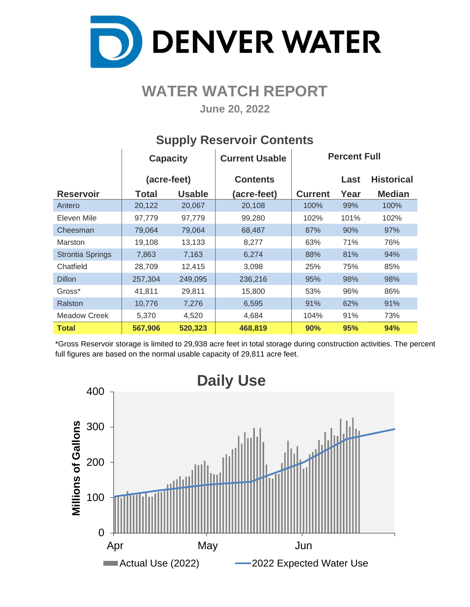

## **WATER WATCH REPORT**

**June 20, 2022**

|                         | <b>Capacity</b> |               | <b>Current Usable</b> |                | <b>Percent Full</b> |                   |
|-------------------------|-----------------|---------------|-----------------------|----------------|---------------------|-------------------|
|                         | (acre-feet)     |               | <b>Contents</b>       |                | Last                | <b>Historical</b> |
| <b>Reservoir</b>        | Total           | <b>Usable</b> | (acre-feet)           | <b>Current</b> | Year                | <b>Median</b>     |
| Antero                  | 20,122          | 20,067        | 20,108                | 100%           | 99%                 | 100%              |
| Eleven Mile             | 97,779          | 97,779        | 99,280                | 102%           | 101%                | 102%              |
| Cheesman                | 79,064          | 79,064        | 68,487                | 87%            | 90%                 | 97%               |
| <b>Marston</b>          | 19,108          | 13,133        | 8,277                 | 63%            | 71%                 | 76%               |
| <b>Strontia Springs</b> | 7,863           | 7,163         | 6,274                 | 88%            | 81%                 | 94%               |
| Chatfield               | 28,709          | 12,415        | 3,098                 | 25%            | 75%                 | 85%               |
| <b>Dillon</b>           | 257,304         | 249,095       | 236,216               | 95%            | 98%                 | 98%               |
| Gross*                  | 41,811          | 29,811        | 15,800                | 53%            | 96%                 | 86%               |
| Ralston                 | 10,776          | 7,276         | 6,595                 | 91%            | 62%                 | 91%               |
| <b>Meadow Creek</b>     | 5,370           | 4,520         | 4,684                 | 104%           | 91%                 | 73%               |
| <b>Total</b>            | 567,906         | 520,323       | 468,819               | 90%            | 95%                 | 94%               |

### **Supply Reservoir Contents**

\*Gross Reservoir storage is limited to 29,938 acre feet in total storage during construction activities. The percent full figures are based on the normal usable capacity of 29,811 acre feet.

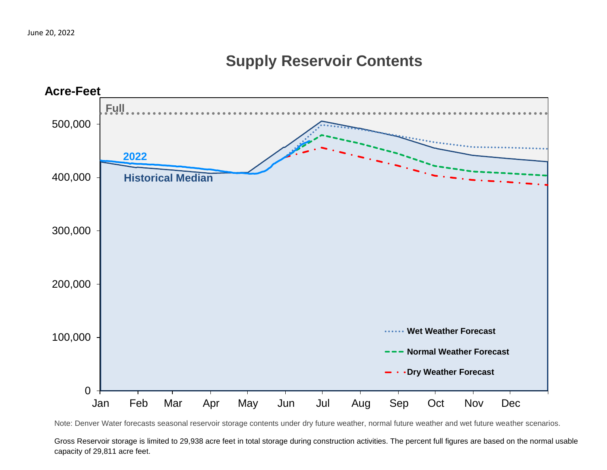## **Supply Reservoir Contents**



Note: Denver Water forecasts seasonal reservoir storage contents under dry future weather, normal future weather and wet future weather scenarios.

Gross Reservoir storage is limited to 29,938 acre feet in total storage during construction activities. The percent full figures are based on the normal usable capacity of 29,811 acre feet.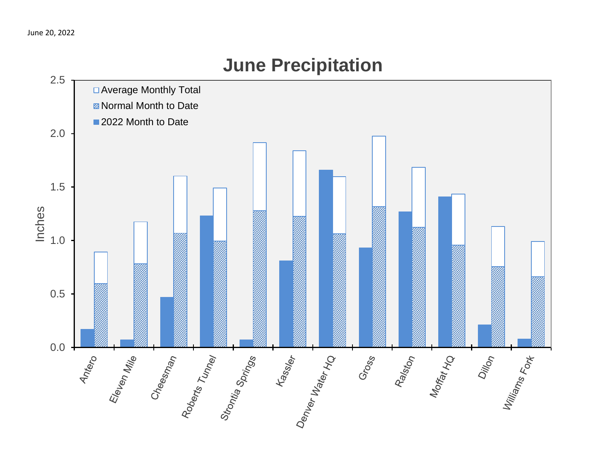

# **June Precipitation**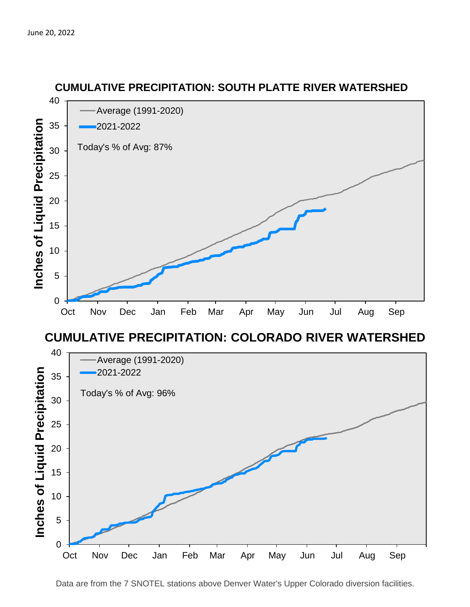

### **CUMULATIVE PRECIPITATION: COLORADO RIVER WATERSHED**



#### **CUMULATIVE PRECIPITATION: SOUTH PLATTE RIVER WATERSHED**

Data are from the 7 SNOTEL stations above Denver Water's Upper Colorado diversion facilities.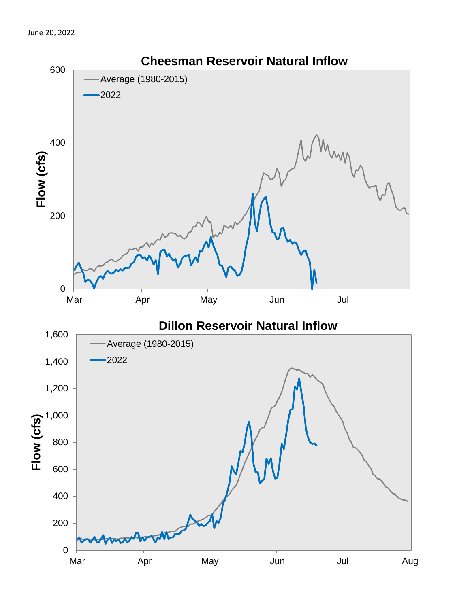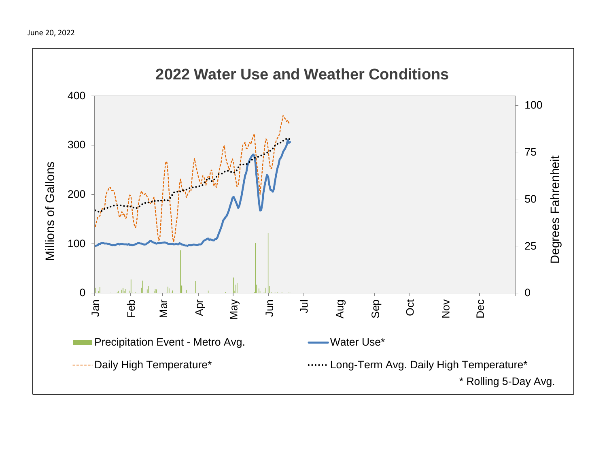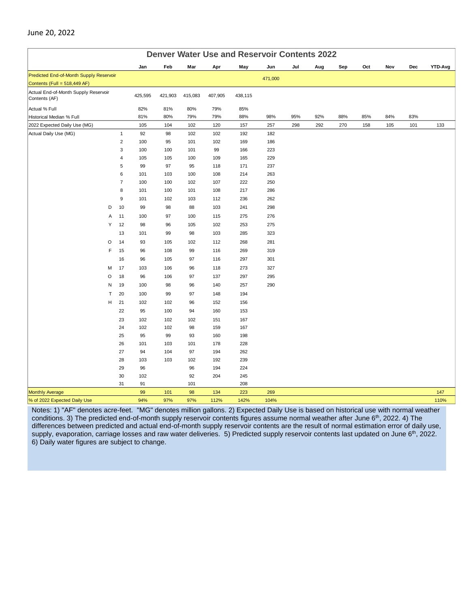| <b>Denver Water Use and Reservoir Contents 2022</b>   |   |                     |            |            |            |            |            |            |     |     |     |     |     |     |         |
|-------------------------------------------------------|---|---------------------|------------|------------|------------|------------|------------|------------|-----|-----|-----|-----|-----|-----|---------|
|                                                       |   |                     | Jan        | Feb        | Mar        | Apr        | May        | Jun        | Jul | Aug | Sep | Oct | Nov | Dec | YTD-Avg |
| Predicted End-of-Month Supply Reservoir               |   |                     |            |            |            |            |            | 471,000    |     |     |     |     |     |     |         |
| Contents (Full = 518,449 AF)                          |   |                     |            |            |            |            |            |            |     |     |     |     |     |     |         |
| Actual End-of-Month Supply Reservoir<br>Contents (AF) |   |                     | 425,595    | 421,903    | 415,083    | 407,905    | 438,115    |            |     |     |     |     |     |     |         |
| Actual % Full                                         |   |                     | 82%        | 81%        | 80%        | 79%        | 85%        |            |     |     |     |     |     |     |         |
| Historical Median % Full                              |   |                     | 81%        | 80%        | 79%        | 79%        | 88%        | 98%        | 95% | 92% | 88% | 85% | 84% | 83% |         |
| 2022 Expected Daily Use (MG)                          |   |                     | 105        | 104        | 102        | 120        | 157        | 257        | 298 | 292 | 270 | 158 | 105 | 101 | 133     |
| Actual Daily Use (MG)                                 |   | $\mathbf{1}$        | 92         | 98         | 102        | 102        | 192        | 182        |     |     |     |     |     |     |         |
|                                                       |   | $\overline{2}$      | 100        | 95         | 101        | 102        | 169        | 186        |     |     |     |     |     |     |         |
|                                                       |   | 3                   | 100        | 100        | 101        | 99         | 166        | 223        |     |     |     |     |     |     |         |
|                                                       |   | 4                   | 105        | 105        | 100        | 109        | 165        | 229        |     |     |     |     |     |     |         |
|                                                       |   | 5                   | 99         | 97         | 95         | 118        | 171        | 237        |     |     |     |     |     |     |         |
|                                                       |   | 6<br>$\overline{7}$ | 101<br>100 | 103<br>100 | 100<br>102 | 108<br>107 | 214<br>222 | 263<br>250 |     |     |     |     |     |     |         |
|                                                       |   | 8                   | 101        | 100        | 101        | 108        | 217        | 286        |     |     |     |     |     |     |         |
|                                                       |   | 9                   | 101        | 102        | 103        | 112        | 236        | 262        |     |     |     |     |     |     |         |
| D                                                     |   | 10                  | 99         | 98         | 88         | 103        | 241        | 298        |     |     |     |     |     |     |         |
|                                                       | Α | 11                  | 100        | 97         | 100        | 115        | 275        | 276        |     |     |     |     |     |     |         |
| Y                                                     |   | 12                  | 98         | 96         | 105        | 102        | 253        | 275        |     |     |     |     |     |     |         |
|                                                       |   | 13                  | 101        | 99         | 98         | 103        | 285        | 323        |     |     |     |     |     |     |         |
| O                                                     |   | 14                  | 93         | 105        | 102        | 112        | 268        | 281        |     |     |     |     |     |     |         |
|                                                       | F | 15                  | 96         | 108        | 99         | 116        | 269        | 319        |     |     |     |     |     |     |         |
|                                                       |   | 16                  | 96         | 105        | 97         | 116        | 297        | 301        |     |     |     |     |     |     |         |
| M                                                     |   | 17                  | 103        | 106        | 96         | 118        | 273        | 327        |     |     |     |     |     |     |         |
| O                                                     |   | 18                  | 96         |            | 97         | 137        | 297        | 295        |     |     |     |     |     |     |         |
| ${\sf N}$                                             |   |                     |            | 106        |            | 140        |            |            |     |     |     |     |     |     |         |
| T                                                     |   | 19<br>20            | 100        | 98         | 96         |            | 257        | 290        |     |     |     |     |     |     |         |
| H                                                     |   | 21                  | 100        | 99         | 97         | 148        | 194        |            |     |     |     |     |     |     |         |
|                                                       |   | 22                  | 102<br>95  | 102<br>100 | 96<br>94   | 152<br>160 | 156        |            |     |     |     |     |     |     |         |
|                                                       |   | 23                  | 102        | 102        |            | 151        | 153<br>167 |            |     |     |     |     |     |     |         |
|                                                       |   | 24                  | 102        | 102        | 102<br>98  | 159        | 167        |            |     |     |     |     |     |     |         |
|                                                       |   | 25                  | 95         | 99         | 93         | 160        | 198        |            |     |     |     |     |     |     |         |
|                                                       |   | 26                  | 101        | 103        | 101        | 178        | 228        |            |     |     |     |     |     |     |         |
|                                                       |   | 27                  | 94         | 104        | 97         | 194        | 262        |            |     |     |     |     |     |     |         |
|                                                       |   | 28                  | 103        | 103        | 102        | 192        | 239        |            |     |     |     |     |     |     |         |
|                                                       |   | 29                  | 96         |            | 96         | 194        | 224        |            |     |     |     |     |     |     |         |
|                                                       |   | 30                  | 102        |            | 92         | 204        | 245        |            |     |     |     |     |     |     |         |
|                                                       |   | 31                  | 91         |            | 101        |            | 208        |            |     |     |     |     |     |     |         |
| <b>Monthly Average</b>                                |   |                     | 99         | 101        | 98         | 134        | 223        | 269        |     |     |     |     |     |     | 147     |
| % of 2022 Expected Daily Use                          |   |                     | 94%        | 97%        | 97%        | 112%       | 142%       | 104%       |     |     |     |     |     |     | 110%    |

Notes: 1) "AF" denotes acre-feet. "MG" denotes million gallons. 2) Expected Daily Use is based on historical use with normal weather conditions. 3) The predicted end-of-month supply reservoir contents figures assume normal weather after June 6<sup>th</sup>, 2022. 4) The differences between predicted and actual end-of-month supply reservoir contents are the result of normal estimation error of daily use, supply, evaporation, carriage losses and raw water deliveries. 5) Predicted supply reservoir contents last updated on June 6<sup>th</sup>, 2022. 6) Daily water figures are subject to change.